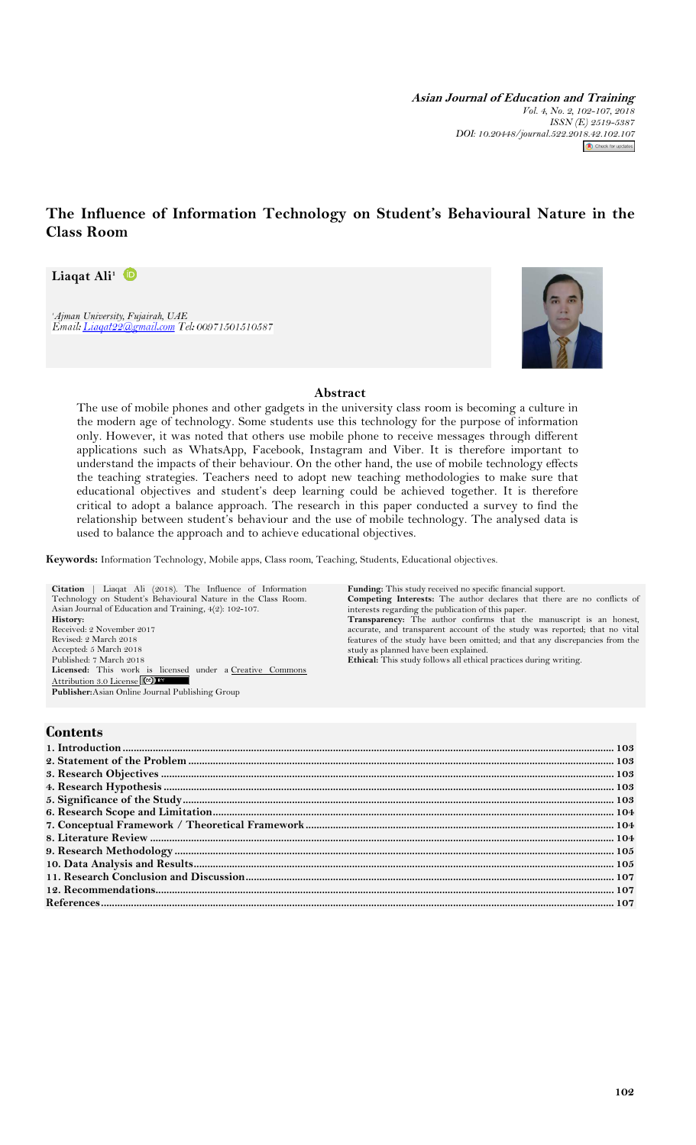**Asian Journal of Education and Training** *Vol. 4, No. 2, 102-107, 2018 ISSN (E) 2519-5387 DOI: 10.20448/journal.522.2018.42.102.107*  $\bigcirc$  Check for updates

# **The Influence of Information Technology on Student's Behavioural Nature in the Class Room**

**Liaqat Ali<sup>1</sup>**

*<sup>1</sup>Ajman University, Fujairah, UAE*



## **Abstract**

The use of mobile phones and other gadgets in the university class room is becoming a culture in the modern age of technology. Some students use this technology for the purpose of information only. However, it was noted that others use mobile phone to receive messages through different applications such as WhatsApp, Facebook, Instagram and Viber. It is therefore important to understand the impacts of their behaviour. On the other hand, the use of mobile technology effects the teaching strategies. Teachers need to adopt new teaching methodologies to make sure that educational objectives and student's deep learning could be achieved together. It is therefore critical to adopt a balance approach. The research in this paper conducted a survey to find the relationship between student's behaviour and the use of mobile technology. The analysed data is used to balance the approach and to achieve educational objectives.

**Keywords:** Information Technology, Mobile apps, Class room, Teaching, Students, Educational objectives.

**Citation** | Liaqat Ali (2018). The Influence of Information Technology on Student's Behavioural Nature in the Class Room. Asian Journal of Education and Training, 4(2): 102-107. **History:** Received: 2 November 2017 Revised: 2 March 2018 Accepted: 5 March 2018 Published: 7 March 2018<br>**Licensed:** This work is licensed under a Creative Commons [Attribution 3.0 License](http://creativecommons.org/licenses/by/3.0/) (CC) **Publisher:**Asian Online Journal Publishing Group **Funding:** This study received no specific financial support. **Competing Interests:** The author declares that there are no conflicts of interests regarding the publication of this paper. **Transparency:** The author confirms that the manuscript is an honest, accurate, and transparent account of the study was reported; that no vital features of the study have been omitted; and that any discrepancies from the study as planned have been explained. **Ethical:** This study follows all ethical practices during writing.

# **Contents**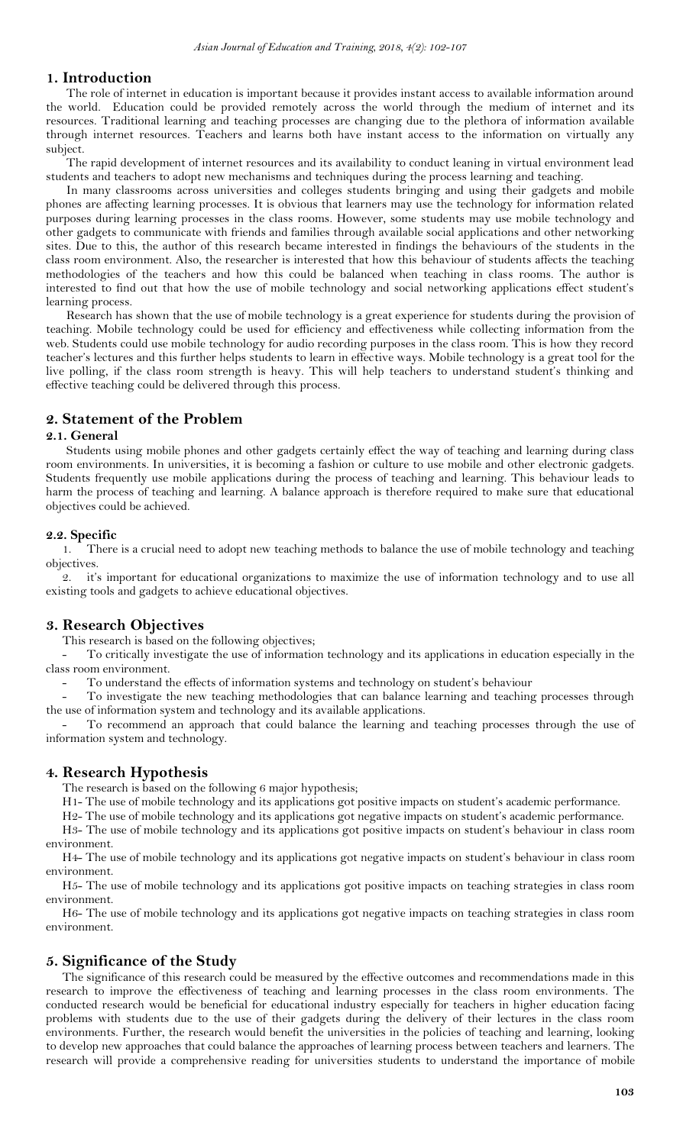## <span id="page-1-0"></span>**1. Introduction**

The role of internet in education is important because it provides instant access to available information around the world. Education could be provided remotely across the world through the medium of internet and its resources. Traditional learning and teaching processes are changing due to the plethora of information available through internet resources. Teachers and learns both have instant access to the information on virtually any subject.

The rapid development of internet resources and its availability to conduct leaning in virtual environment lead students and teachers to adopt new mechanisms and techniques during the process learning and teaching.

In many classrooms across universities and colleges students bringing and using their gadgets and mobile phones are affecting learning processes. It is obvious that learners may use the technology for information related purposes during learning processes in the class rooms. However, some students may use mobile technology and other gadgets to communicate with friends and families through available social applications and other networking sites. Due to this, the author of this research became interested in findings the behaviours of the students in the class room environment. Also, the researcher is interested that how this behaviour of students affects the teaching methodologies of the teachers and how this could be balanced when teaching in class rooms. The author is interested to find out that how the use of mobile technology and social networking applications effect student's learning process.

Research has shown that the use of mobile technology is a great experience for students during the provision of teaching. Mobile technology could be used for efficiency and effectiveness while collecting information from the web. Students could use mobile technology for audio recording purposes in the class room. This is how they record teacher's lectures and this further helps students to learn in effective ways. Mobile technology is a great tool for the live polling, if the class room strength is heavy. This will help teachers to understand student's thinking and effective teaching could be delivered through this process.

# <span id="page-1-1"></span>**2. Statement of the Problem**

### **2.1. General**

Students using mobile phones and other gadgets certainly effect the way of teaching and learning during class room environments. In universities, it is becoming a fashion or culture to use mobile and other electronic gadgets. Students frequently use mobile applications during the process of teaching and learning. This behaviour leads to harm the process of teaching and learning. A balance approach is therefore required to make sure that educational objectives could be achieved.

## **2.2. Specific**

1. There is a crucial need to adopt new teaching methods to balance the use of mobile technology and teaching objectives.

2. it's important for educational organizations to maximize the use of information technology and to use all existing tools and gadgets to achieve educational objectives.

#### <span id="page-1-2"></span>**3. Research Objectives**

This research is based on the following objectives;

- To critically investigate the use of information technology and its applications in education especially in the class room environment.

To understand the effects of information systems and technology on student's behaviour

- To investigate the new teaching methodologies that can balance learning and teaching processes through the use of information system and technology and its available applications.

To recommend an approach that could balance the learning and teaching processes through the use of information system and technology.

#### <span id="page-1-3"></span>**4. Research Hypothesis**

The research is based on the following 6 major hypothesis;

H1- The use of mobile technology and its applications got positive impacts on student's academic performance.

H2- The use of mobile technology and its applications got negative impacts on student's academic performance.

H3- The use of mobile technology and its applications got positive impacts on student's behaviour in class room environment.

H4- The use of mobile technology and its applications got negative impacts on student's behaviour in class room environment.

H5- The use of mobile technology and its applications got positive impacts on teaching strategies in class room environment.

H6- The use of mobile technology and its applications got negative impacts on teaching strategies in class room environment.

#### <span id="page-1-4"></span>**5. Significance of the Study**

The significance of this research could be measured by the effective outcomes and recommendations made in this research to improve the effectiveness of teaching and learning processes in the class room environments. The conducted research would be beneficial for educational industry especially for teachers in higher education facing problems with students due to the use of their gadgets during the delivery of their lectures in the class room environments. Further, the research would benefit the universities in the policies of teaching and learning, looking to develop new approaches that could balance the approaches of learning process between teachers and learners. The research will provide a comprehensive reading for universities students to understand the importance of mobile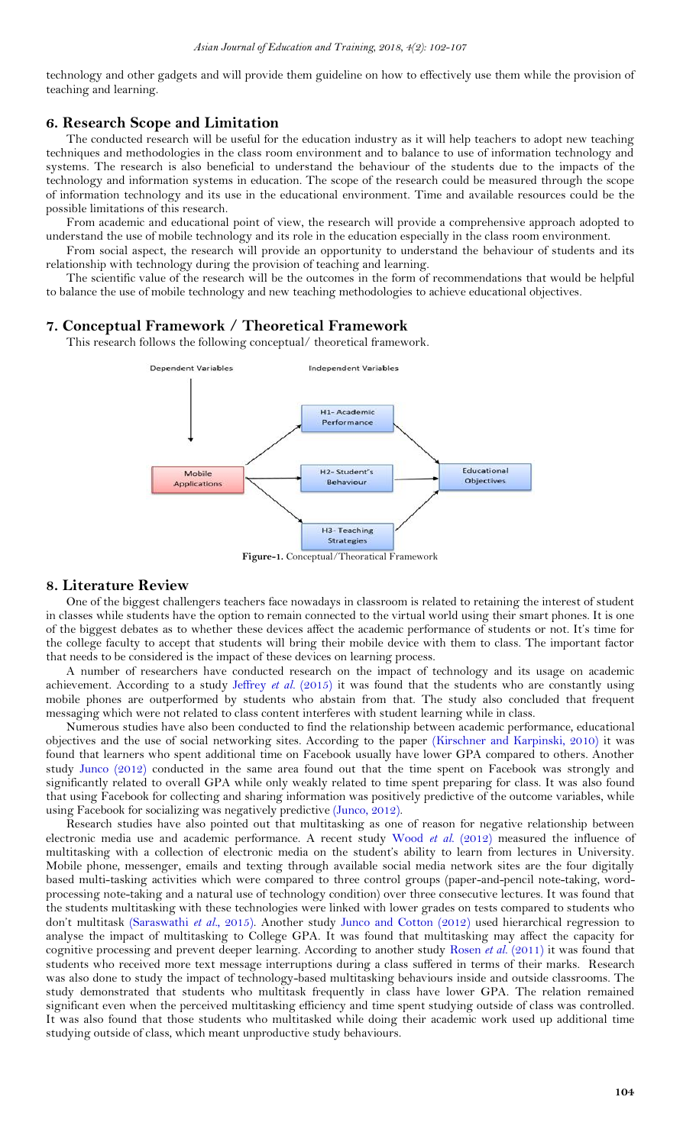technology and other gadgets and will provide them guideline on how to effectively use them while the provision of teaching and learning.

## <span id="page-2-0"></span>**6. Research Scope and Limitation**

The conducted research will be useful for the education industry as it will help teachers to adopt new teaching techniques and methodologies in the class room environment and to balance to use of information technology and systems. The research is also beneficial to understand the behaviour of the students due to the impacts of the technology and information systems in education. The scope of the research could be measured through the scope of information technology and its use in the educational environment. Time and available resources could be the possible limitations of this research.

From academic and educational point of view, the research will provide a comprehensive approach adopted to understand the use of mobile technology and its role in the education especially in the class room environment.

From social aspect, the research will provide an opportunity to understand the behaviour of students and its relationship with technology during the provision of teaching and learning.

The scientific value of the research will be the outcomes in the form of recommendations that would be helpful to balance the use of mobile technology and new teaching methodologies to achieve educational objectives.

#### <span id="page-2-1"></span>**7. Conceptual Framework / Theoretical Framework**

This research follows the following conceptual/ theoretical framework.



**Figure-1.** Conceptual/Theoratical Framework

#### <span id="page-2-2"></span>**8. Literature Review**

One of the biggest challengers teachers face nowadays in classroom is related to retaining the interest of student in classes while students have the option to remain connected to the virtual world using their smart phones. It is one of the biggest debates as to whether these devices affect the academic performance of students or not. It's time for the college faculty to accept that students will bring their mobile device with them to class. The important factor that needs to be considered is the impact of these devices on learning process.

A number of researchers have conducted research on the impact of technology and its usage on academic achievement. According to a study [Jeffrey](#page-5-3) *et al.* (2015) it was found that the students who are constantly using mobile phones are outperformed by students who abstain from that. The study also concluded that frequent messaging which were not related to class content interferes with student learning while in class.

Numerous studies have also been conducted to find the relationship between academic performance, educational objectives and the use of social networking sites. According to the paper [\(Kirschner and Karpinski, 2010\)](#page-5-4) it was found that learners who spent additional time on Facebook usually have lower GPA compared to others. Another study [Junco \(2012\)](#page-5-5) conducted in the same area found out that the time spent on Facebook was strongly and significantly related to overall GPA while only weakly related to time spent preparing for class. It was also found that using Facebook for collecting and sharing information was positively predictive of the outcome variables, while using Facebook for socializing was negatively predictive [\(Junco, 2012\)](#page-5-5).

Research studies have also pointed out that multitasking as one of reason for negative relationship between electronic media use and academic performance. A recent study [Wood](#page-5-6) et al. (2012) measured the influence of multitasking with a collection of electronic media on the student's ability to learn from lectures in University. Mobile phone, messenger, emails and texting through available social media network sites are the four digitally based multi-tasking activities which were compared to three control groups (paper-and-pencil note-taking, wordprocessing note-taking and a natural use of technology condition) over three consecutive lectures. It was found that the students multitasking with these technologies were linked with lower grades on tests compared to students who don't multitask [\(Saraswathi](#page-5-7) *et al.*, 2015). Another study [Junco and Cotton \(2012\)](#page-5-8) used hierarchical regression to analyse the impact of multitasking to College GPA. It was found that multitasking may affect the capacity for cognitive processing and prevent deeper learning. According to another study [Rosen](#page-5-9) *et al.* (2011) it was found that students who received more text message interruptions during a class suffered in terms of their marks. Research was also done to study the impact of technology-based multitasking behaviours inside and outside classrooms. The study demonstrated that students who multitask frequently in class have lower GPA. The relation remained significant even when the perceived multitasking efficiency and time spent studying outside of class was controlled. It was also found that those students who multitasked while doing their academic work used up additional time studying outside of class, which meant unproductive study behaviours.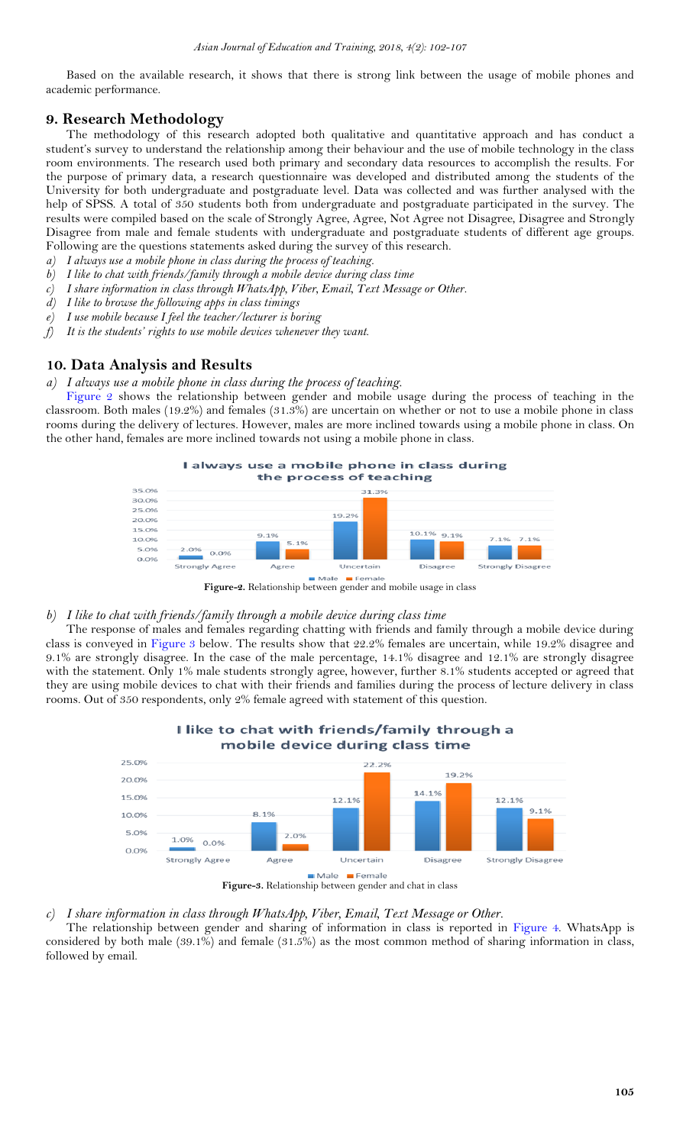Based on the available research, it shows that there is strong link between the usage of mobile phones and academic performance.

# <span id="page-3-0"></span>**9. Research Methodology**

The methodology of this research adopted both qualitative and quantitative approach and has conduct a student's survey to understand the relationship among their behaviour and the use of mobile technology in the class room environments. The research used both primary and secondary data resources to accomplish the results. For the purpose of primary data, a research questionnaire was developed and distributed among the students of the University for both undergraduate and postgraduate level. Data was collected and was further analysed with the help of SPSS. A total of 350 students both from undergraduate and postgraduate participated in the survey. The results were compiled based on the scale of Strongly Agree, Agree, Not Agree not Disagree, Disagree and Strongly Disagree from male and female students with undergraduate and postgraduate students of different age groups. Following are the questions statements asked during the survey of this research.

- *a) I always use a mobile phone in class during the process of teaching.*
- *b) I like to chat with friends/family through a mobile device during class time*
- *c) I share information in class through WhatsApp, Viber, Email, Text Message or Other.*
- *d) I like to browse the following apps in class timings*
- *e) I use mobile because I feel the teacher/lecturer is boring*
- *f) It is the students' rights to use mobile devices whenever they want.*

## <span id="page-3-1"></span>**10. Data Analysis and Results**

*a) I always use a mobile phone in class during the process of teaching.*

[Figure 2](#page-3-2) shows the relationship between gender and mobile usage during the process of teaching in the classroom. Both males (19.2%) and females (31.3%) are uncertain on whether or not to use a mobile phone in class rooms during the delivery of lectures. However, males are more inclined towards using a mobile phone in class. On the other hand, females are more inclined towards not using a mobile phone in class.



<span id="page-3-2"></span>**Figure-2.** Relationship between gender and mobile usage in class

#### *b) I like to chat with friends/family through a mobile device during class time*

The response of males and females regarding chatting with friends and family through a mobile device during class is conveyed in [Figure 3](#page-3-3) below. The results show that 22.2% females are uncertain, while 19.2% disagree and 9.1% are strongly disagree. In the case of the male percentage, 14.1% disagree and 12.1% are strongly disagree with the statement. Only 1% male students strongly agree, however, further 8.1% students accepted or agreed that they are using mobile devices to chat with their friends and families during the process of lecture delivery in class rooms. Out of 350 respondents, only 2% female agreed with statement of this question.

<span id="page-3-3"></span>I like to chat with friends/family through a



#### *c) I share information in class through WhatsApp, Viber, Email, Text Message or Other.*

The relationship between gender and sharing of information in class is reported in [Figure 4.](#page-4-0) WhatsApp is considered by both male (39.1%) and female (31.5%) as the most common method of sharing information in class, followed by email.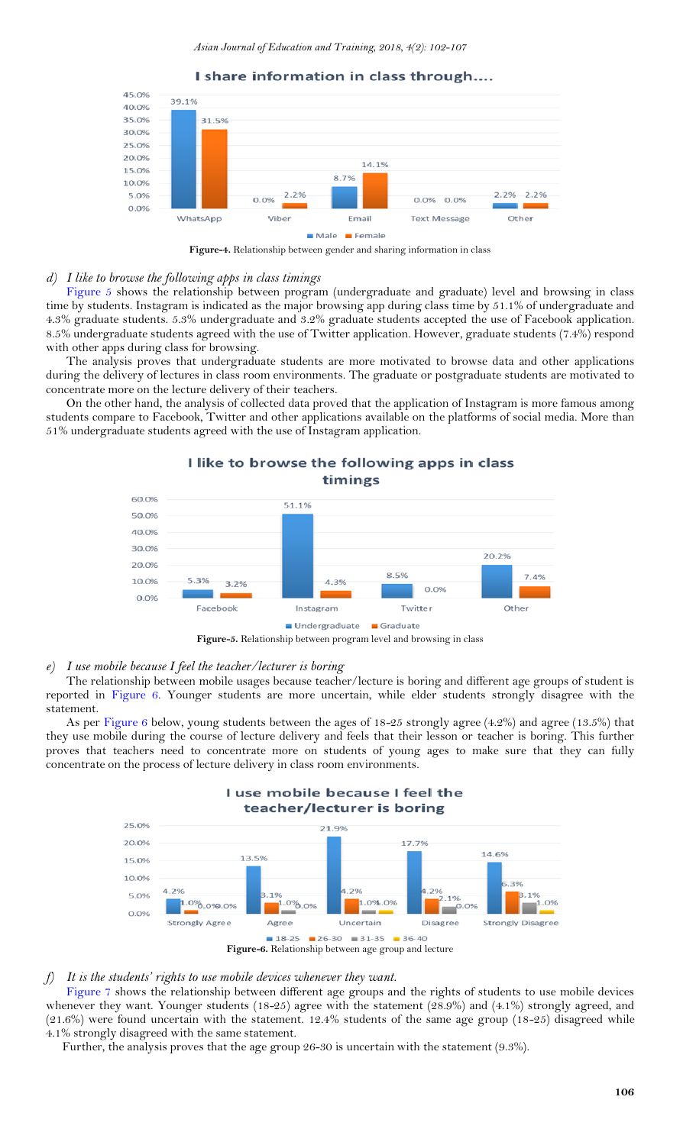



<span id="page-4-0"></span>**Figure-4.** Relationship between gender and sharing information in class

#### *d) I like to browse the following apps in class timings*

[Figure 5](#page-4-1) shows the relationship between program (undergraduate and graduate) level and browsing in class time by students. Instagram is indicated as the major browsing app during class time by 51.1% of undergraduate and 4.3% graduate students. 5.3% undergraduate and 3.2% graduate students accepted the use of Facebook application. 8.5% undergraduate students agreed with the use of Twitter application. However, graduate students (7.4%) respond with other apps during class for browsing.

The analysis proves that undergraduate students are more motivated to browse data and other applications during the delivery of lectures in class room environments. The graduate or postgraduate students are motivated to concentrate more on the lecture delivery of their teachers.

On the other hand, the analysis of collected data proved that the application of Instagram is more famous among students compare to Facebook, Twitter and other applications available on the platforms of social media. More than 51% undergraduate students agreed with the use of Instagram application.

I like to browse the following apps in class



<span id="page-4-1"></span>**Figure-5.** Relationship between program level and browsing in class

#### *e) I use mobile because I feel the teacher/lecturer is boring*

The relationship between mobile usages because teacher/lecture is boring and different age groups of student is reported in [Figure 6.](#page-4-2) Younger students are more uncertain, while elder students strongly disagree with the statement.

As per [Figure 6](#page-4-2) below, young students between the ages of 18-25 strongly agree (4.2%) and agree (13.5%) that they use mobile during the course of lecture delivery and feels that their lesson or teacher is boring. This further proves that teachers need to concentrate more on students of young ages to make sure that they can fully concentrate on the process of lecture delivery in class room environments.

<span id="page-4-2"></span>

#### *f) It is the students' rights to use mobile devices whenever they want.*

[Figure 7](#page-5-10) shows the relationship between different age groups and the rights of students to use mobile devices whenever they want. Younger students (18-25) agree with the statement (28.9%) and (4.1%) strongly agreed, and (21.6%) were found uncertain with the statement. 12.4% students of the same age group (18-25) disagreed while 4.1% strongly disagreed with the same statement.

Further, the analysis proves that the age group 26-30 is uncertain with the statement (9.3%).